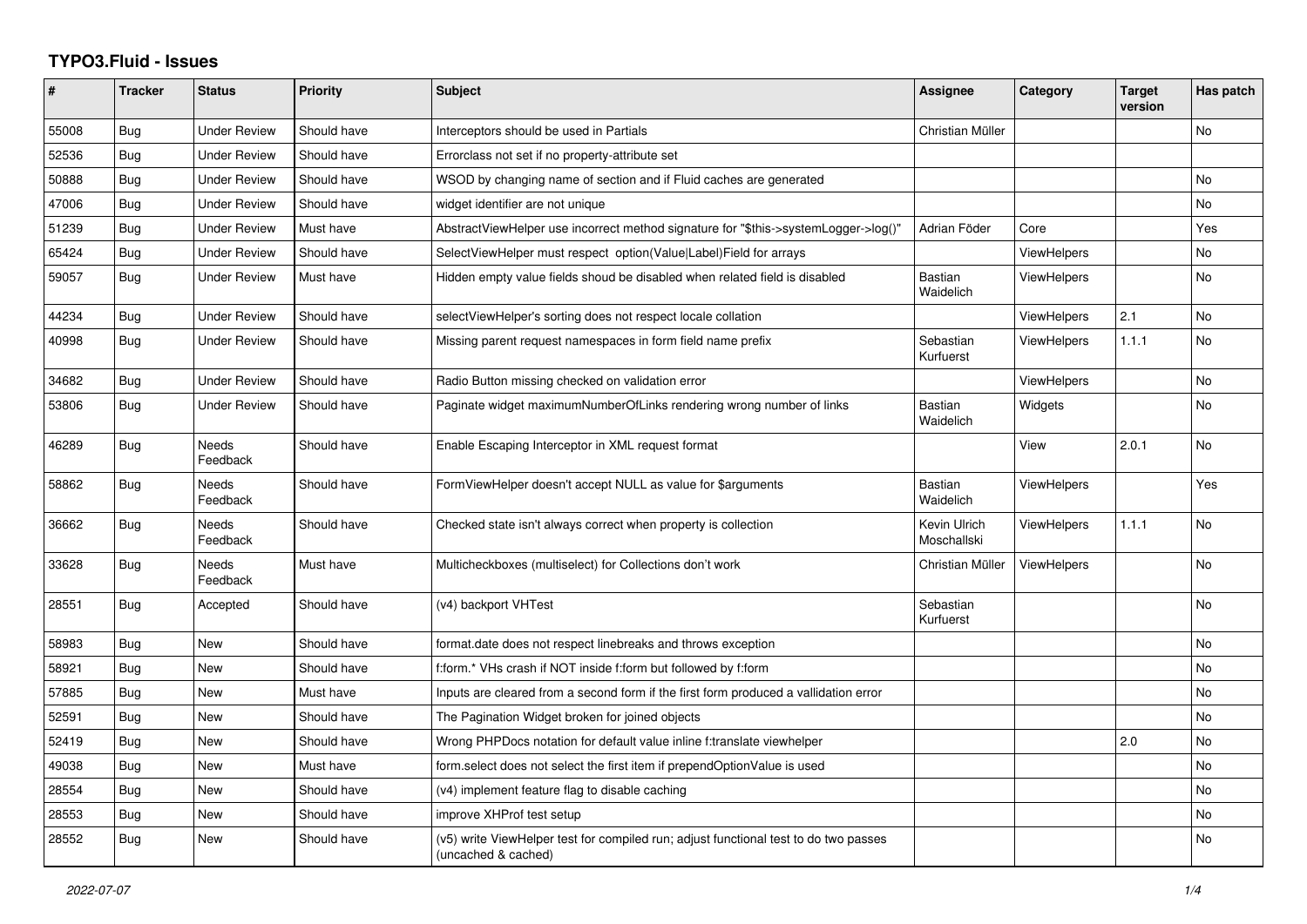## **TYPO3.Fluid - Issues**

| ∦     | <b>Tracker</b> | <b>Status</b>            | Priority    | Subject                                                                                                     | <b>Assignee</b>             | Category           | <b>Target</b><br>version | Has patch |
|-------|----------------|--------------------------|-------------|-------------------------------------------------------------------------------------------------------------|-----------------------------|--------------------|--------------------------|-----------|
| 55008 | Bug            | <b>Under Review</b>      | Should have | Interceptors should be used in Partials                                                                     | Christian Müller            |                    |                          | No        |
| 52536 | Bug            | <b>Under Review</b>      | Should have | Errorclass not set if no property-attribute set                                                             |                             |                    |                          |           |
| 50888 | Bug            | <b>Under Review</b>      | Should have | WSOD by changing name of section and if Fluid caches are generated                                          |                             |                    |                          | No        |
| 47006 | <b>Bug</b>     | <b>Under Review</b>      | Should have | widget identifier are not unique                                                                            |                             |                    |                          | No        |
| 51239 | Bug            | <b>Under Review</b>      | Must have   | AbstractViewHelper use incorrect method signature for "\$this->systemLogger->log()"                         | Adrian Föder                | Core               |                          | Yes       |
| 65424 | Bug            | <b>Under Review</b>      | Should have | SelectViewHelper must respect option(Value Label)Field for arrays                                           |                             | <b>ViewHelpers</b> |                          | No        |
| 59057 | Bug            | <b>Under Review</b>      | Must have   | Hidden empty value fields shoud be disabled when related field is disabled                                  | Bastian<br>Waidelich        | <b>ViewHelpers</b> |                          | No        |
| 44234 | Bug            | <b>Under Review</b>      | Should have | selectViewHelper's sorting does not respect locale collation                                                |                             | <b>ViewHelpers</b> | 2.1                      | No        |
| 40998 | Bug            | <b>Under Review</b>      | Should have | Missing parent request namespaces in form field name prefix                                                 | Sebastian<br>Kurfuerst      | <b>ViewHelpers</b> | 1.1.1                    | <b>No</b> |
| 34682 | <b>Bug</b>     | <b>Under Review</b>      | Should have | Radio Button missing checked on validation error                                                            |                             | <b>ViewHelpers</b> |                          | No        |
| 53806 | Bug            | <b>Under Review</b>      | Should have | Paginate widget maximumNumberOfLinks rendering wrong number of links                                        | <b>Bastian</b><br>Waidelich | Widgets            |                          | No        |
| 46289 | Bug            | Needs<br>Feedback        | Should have | Enable Escaping Interceptor in XML request format                                                           |                             | View               | 2.0.1                    | No        |
| 58862 | Bug            | <b>Needs</b><br>Feedback | Should have | FormViewHelper doesn't accept NULL as value for \$arguments                                                 | <b>Bastian</b><br>Waidelich | <b>ViewHelpers</b> |                          | Yes       |
| 36662 | Bug            | Needs<br>Feedback        | Should have | Checked state isn't always correct when property is collection                                              | Kevin Ulrich<br>Moschallski | <b>ViewHelpers</b> | 1.1.1                    | No        |
| 33628 | Bug            | Needs<br>Feedback        | Must have   | Multicheckboxes (multiselect) for Collections don't work                                                    | Christian Müller            | <b>ViewHelpers</b> |                          | No        |
| 28551 | Bug            | Accepted                 | Should have | (v4) backport VHTest                                                                                        | Sebastian<br>Kurfuerst      |                    |                          | No        |
| 58983 | Bug            | <b>New</b>               | Should have | format.date does not respect linebreaks and throws exception                                                |                             |                    |                          | No        |
| 58921 | Bug            | New                      | Should have | f:form.* VHs crash if NOT inside f:form but followed by f:form                                              |                             |                    |                          | No        |
| 57885 | <b>Bug</b>     | New                      | Must have   | Inputs are cleared from a second form if the first form produced a vallidation error                        |                             |                    |                          | No        |
| 52591 | Bug            | <b>New</b>               | Should have | The Pagination Widget broken for joined objects                                                             |                             |                    |                          | No        |
| 52419 | <b>Bug</b>     | New                      | Should have | Wrong PHPDocs notation for default value inline f:translate viewhelper                                      |                             |                    | 2.0                      | No        |
| 49038 | Bug            | New                      | Must have   | form select does not select the first item if prependOptionValue is used                                    |                             |                    |                          | No        |
| 28554 | Bug            | New                      | Should have | (v4) implement feature flag to disable caching                                                              |                             |                    |                          | No        |
| 28553 | Bug            | New                      | Should have | improve XHProf test setup                                                                                   |                             |                    |                          | No        |
| 28552 | Bug            | New                      | Should have | (v5) write ViewHelper test for compiled run; adjust functional test to do two passes<br>(uncached & cached) |                             |                    |                          | No        |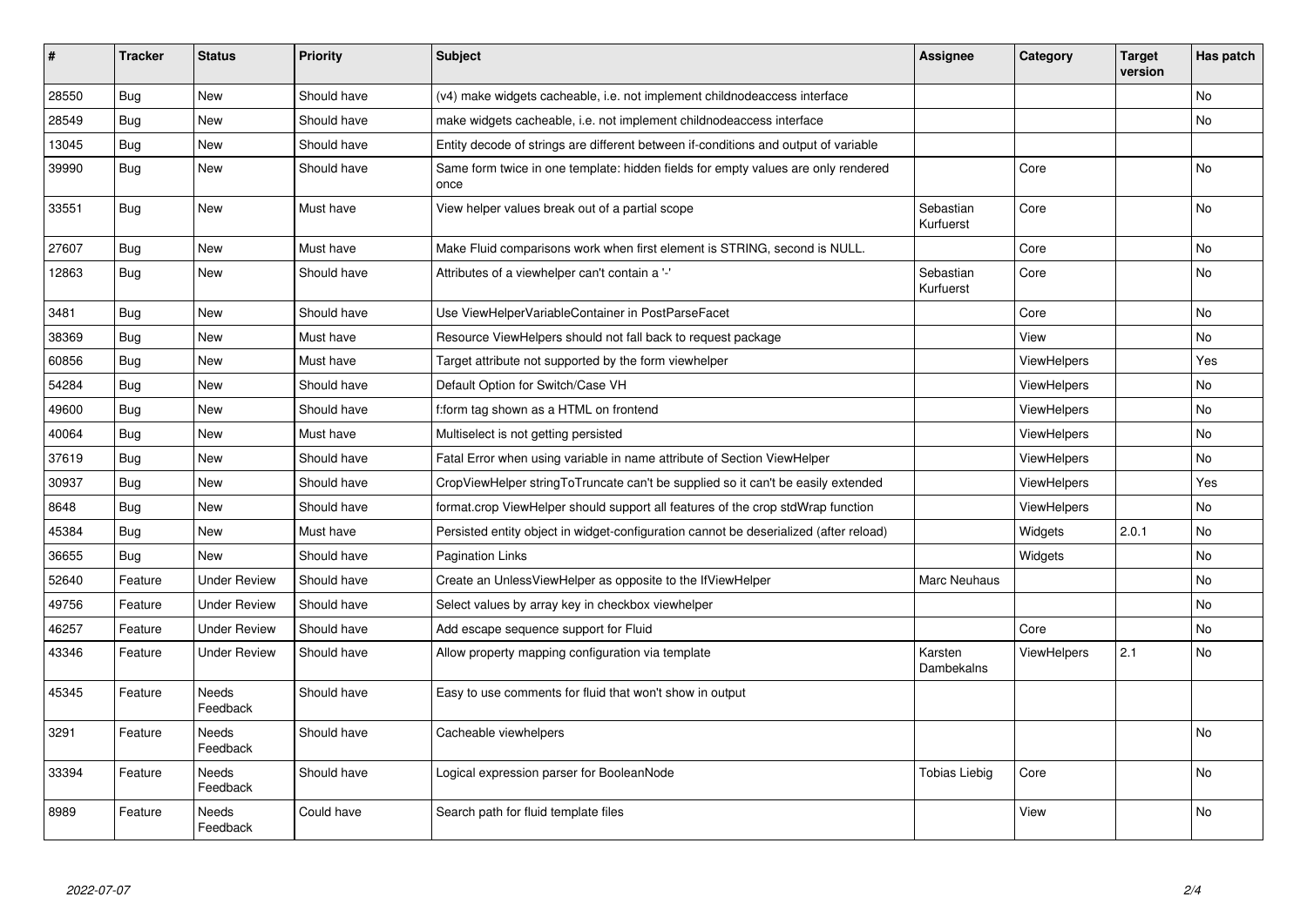| #     | <b>Tracker</b> | <b>Status</b>            | <b>Priority</b> | <b>Subject</b>                                                                            | <b>Assignee</b>        | Category           | <b>Target</b><br>version | Has patch |
|-------|----------------|--------------------------|-----------------|-------------------------------------------------------------------------------------------|------------------------|--------------------|--------------------------|-----------|
| 28550 | Bug            | <b>New</b>               | Should have     | (v4) make widgets cacheable, i.e. not implement childnodeaccess interface                 |                        |                    |                          | No        |
| 28549 | Bug            | <b>New</b>               | Should have     | make widgets cacheable, i.e. not implement childnodeaccess interface                      |                        |                    |                          | No        |
| 13045 | Bug            | New                      | Should have     | Entity decode of strings are different between if-conditions and output of variable       |                        |                    |                          |           |
| 39990 | Bug            | <b>New</b>               | Should have     | Same form twice in one template: hidden fields for empty values are only rendered<br>once |                        | Core               |                          | No        |
| 33551 | <b>Bug</b>     | <b>New</b>               | Must have       | View helper values break out of a partial scope                                           | Sebastian<br>Kurfuerst | Core               |                          | <b>No</b> |
| 27607 | Bug            | <b>New</b>               | Must have       | Make Fluid comparisons work when first element is STRING, second is NULL.                 |                        | Core               |                          | No        |
| 12863 | <b>Bug</b>     | <b>New</b>               | Should have     | Attributes of a viewhelper can't contain a '-'                                            | Sebastian<br>Kurfuerst | Core               |                          | <b>No</b> |
| 3481  | Bug            | <b>New</b>               | Should have     | Use ViewHelperVariableContainer in PostParseFacet                                         |                        | Core               |                          | No        |
| 38369 | Bug            | <b>New</b>               | Must have       | Resource ViewHelpers should not fall back to request package                              |                        | View               |                          | No        |
| 60856 | <b>Bug</b>     | <b>New</b>               | Must have       | Target attribute not supported by the form viewhelper                                     |                        | ViewHelpers        |                          | Yes       |
| 54284 | <b>Bug</b>     | New                      | Should have     | Default Option for Switch/Case VH                                                         |                        | <b>ViewHelpers</b> |                          | No        |
| 49600 | <b>Bug</b>     | New                      | Should have     | f:form tag shown as a HTML on frontend                                                    |                        | <b>ViewHelpers</b> |                          | No        |
| 40064 | Bug            | New                      | Must have       | Multiselect is not getting persisted                                                      |                        | <b>ViewHelpers</b> |                          | No        |
| 37619 | Bug            | <b>New</b>               | Should have     | Fatal Error when using variable in name attribute of Section ViewHelper                   |                        | ViewHelpers        |                          | No        |
| 30937 | <b>Bug</b>     | New                      | Should have     | CropViewHelper stringToTruncate can't be supplied so it can't be easily extended          |                        | ViewHelpers        |                          | Yes       |
| 8648  | Bug            | New                      | Should have     | format.crop ViewHelper should support all features of the crop stdWrap function           |                        | ViewHelpers        |                          | No        |
| 45384 | <b>Bug</b>     | <b>New</b>               | Must have       | Persisted entity object in widget-configuration cannot be deserialized (after reload)     |                        | Widgets            | 2.0.1                    | <b>No</b> |
| 36655 | Bug            | <b>New</b>               | Should have     | <b>Pagination Links</b>                                                                   |                        | Widgets            |                          | No.       |
| 52640 | Feature        | <b>Under Review</b>      | Should have     | Create an UnlessViewHelper as opposite to the IfViewHelper                                | Marc Neuhaus           |                    |                          | No        |
| 49756 | Feature        | <b>Under Review</b>      | Should have     | Select values by array key in checkbox viewhelper                                         |                        |                    |                          | No        |
| 46257 | Feature        | <b>Under Review</b>      | Should have     | Add escape sequence support for Fluid                                                     |                        | Core               |                          | No.       |
| 43346 | Feature        | <b>Under Review</b>      | Should have     | Allow property mapping configuration via template                                         | Karsten<br>Dambekalns  | ViewHelpers        | 2.1                      | No        |
| 45345 | Feature        | <b>Needs</b><br>Feedback | Should have     | Easy to use comments for fluid that won't show in output                                  |                        |                    |                          |           |
| 3291  | Feature        | <b>Needs</b><br>Feedback | Should have     | Cacheable viewhelpers                                                                     |                        |                    |                          | <b>No</b> |
| 33394 | Feature        | <b>Needs</b><br>Feedback | Should have     | Logical expression parser for BooleanNode                                                 | <b>Tobias Liebig</b>   | Core               |                          | <b>No</b> |
| 8989  | Feature        | Needs<br>Feedback        | Could have      | Search path for fluid template files                                                      |                        | View               |                          | No        |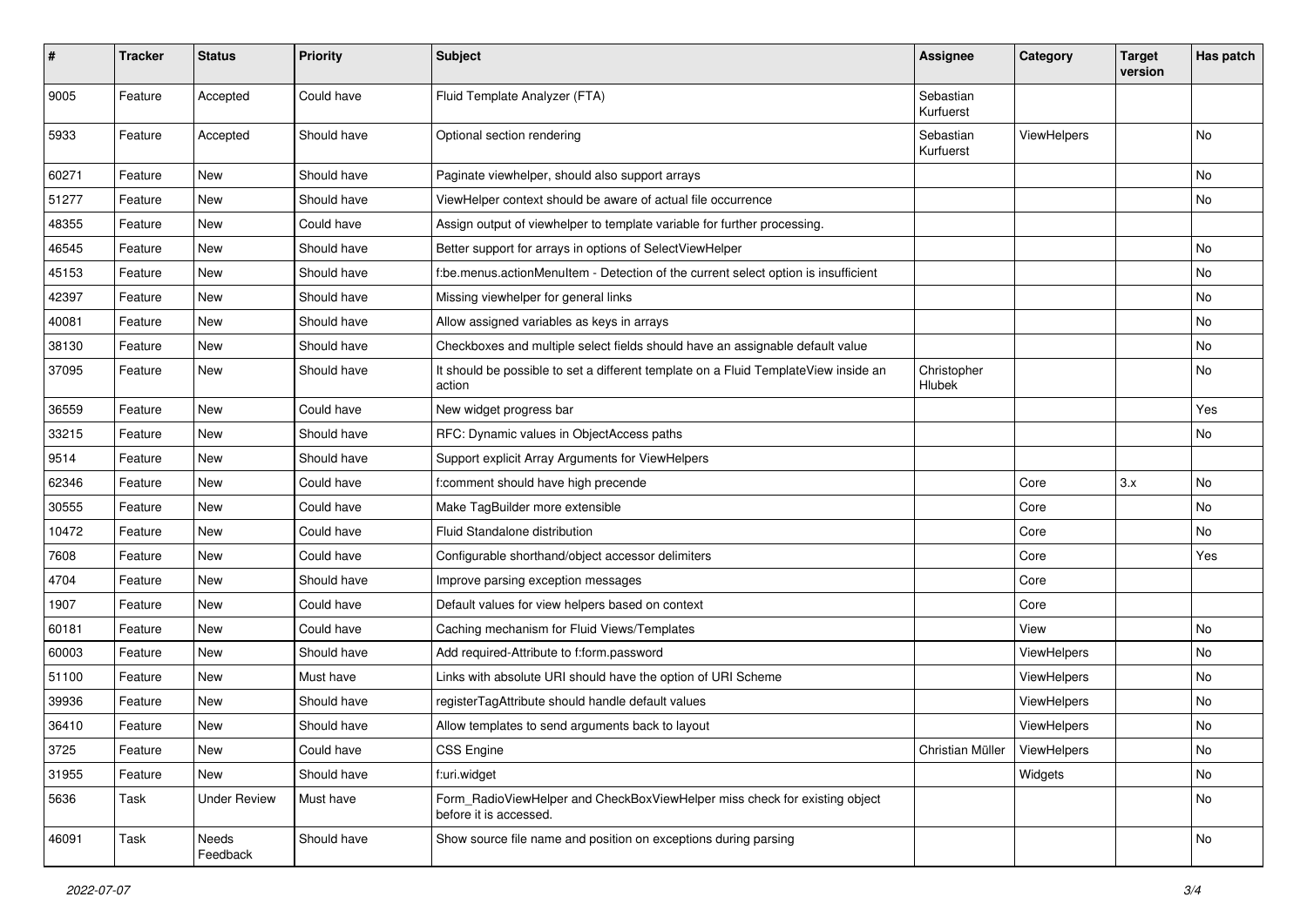| $\sharp$ | <b>Tracker</b> | <b>Status</b>       | <b>Priority</b> | Subject                                                                                              | <b>Assignee</b>        | Category    | <b>Target</b><br>version | Has patch |
|----------|----------------|---------------------|-----------------|------------------------------------------------------------------------------------------------------|------------------------|-------------|--------------------------|-----------|
| 9005     | Feature        | Accepted            | Could have      | Fluid Template Analyzer (FTA)                                                                        | Sebastian<br>Kurfuerst |             |                          |           |
| 5933     | Feature        | Accepted            | Should have     | Optional section rendering                                                                           | Sebastian<br>Kurfuerst | ViewHelpers |                          | No        |
| 60271    | Feature        | New                 | Should have     | Paginate viewhelper, should also support arrays                                                      |                        |             |                          | No        |
| 51277    | Feature        | <b>New</b>          | Should have     | ViewHelper context should be aware of actual file occurrence                                         |                        |             |                          | No        |
| 48355    | Feature        | New                 | Could have      | Assign output of viewhelper to template variable for further processing.                             |                        |             |                          |           |
| 46545    | Feature        | New                 | Should have     | Better support for arrays in options of SelectViewHelper                                             |                        |             |                          | No        |
| 45153    | Feature        | <b>New</b>          | Should have     | f:be.menus.actionMenuItem - Detection of the current select option is insufficient                   |                        |             |                          | No        |
| 42397    | Feature        | New                 | Should have     | Missing viewhelper for general links                                                                 |                        |             |                          | No        |
| 40081    | Feature        | New                 | Should have     | Allow assigned variables as keys in arrays                                                           |                        |             |                          | No        |
| 38130    | Feature        | New                 | Should have     | Checkboxes and multiple select fields should have an assignable default value                        |                        |             |                          | No        |
| 37095    | Feature        | New                 | Should have     | It should be possible to set a different template on a Fluid TemplateView inside an<br>action        | Christopher<br>Hlubek  |             |                          | No        |
| 36559    | Feature        | New                 | Could have      | New widget progress bar                                                                              |                        |             |                          | Yes       |
| 33215    | Feature        | New                 | Should have     | RFC: Dynamic values in ObjectAccess paths                                                            |                        |             |                          | No        |
| 9514     | Feature        | <b>New</b>          | Should have     | Support explicit Array Arguments for ViewHelpers                                                     |                        |             |                          |           |
| 62346    | Feature        | New                 | Could have      | f:comment should have high precende                                                                  |                        | Core        | 3.x                      | No        |
| 30555    | Feature        | New                 | Could have      | Make TagBuilder more extensible                                                                      |                        | Core        |                          | No        |
| 10472    | Feature        | New                 | Could have      | Fluid Standalone distribution                                                                        |                        | Core        |                          | No        |
| 7608     | Feature        | New                 | Could have      | Configurable shorthand/object accessor delimiters                                                    |                        | Core        |                          | Yes       |
| 4704     | Feature        | New                 | Should have     | Improve parsing exception messages                                                                   |                        | Core        |                          |           |
| 1907     | Feature        | New                 | Could have      | Default values for view helpers based on context                                                     |                        | Core        |                          |           |
| 60181    | Feature        | New                 | Could have      | Caching mechanism for Fluid Views/Templates                                                          |                        | View        |                          | No        |
| 60003    | Feature        | New                 | Should have     | Add required-Attribute to f:form.password                                                            |                        | ViewHelpers |                          | No        |
| 51100    | Feature        | New                 | Must have       | Links with absolute URI should have the option of URI Scheme                                         |                        | ViewHelpers |                          | No        |
| 39936    | Feature        | New                 | Should have     | registerTagAttribute should handle default values                                                    |                        | ViewHelpers |                          | No        |
| 36410    | Feature        | New                 | Should have     | Allow templates to send arguments back to layout                                                     |                        | ViewHelpers |                          | No        |
| 3725     | Feature        | New                 | Could have      | CSS Engine                                                                                           | Christian Müller       | ViewHelpers |                          | No        |
| 31955    | Feature        | New                 | Should have     | f:uri.widget                                                                                         |                        | Widgets     |                          | No        |
| 5636     | Task           | <b>Under Review</b> | Must have       | Form_RadioViewHelper and CheckBoxViewHelper miss check for existing object<br>before it is accessed. |                        |             |                          | No        |
| 46091    | Task           | Needs<br>Feedback   | Should have     | Show source file name and position on exceptions during parsing                                      |                        |             |                          | No        |